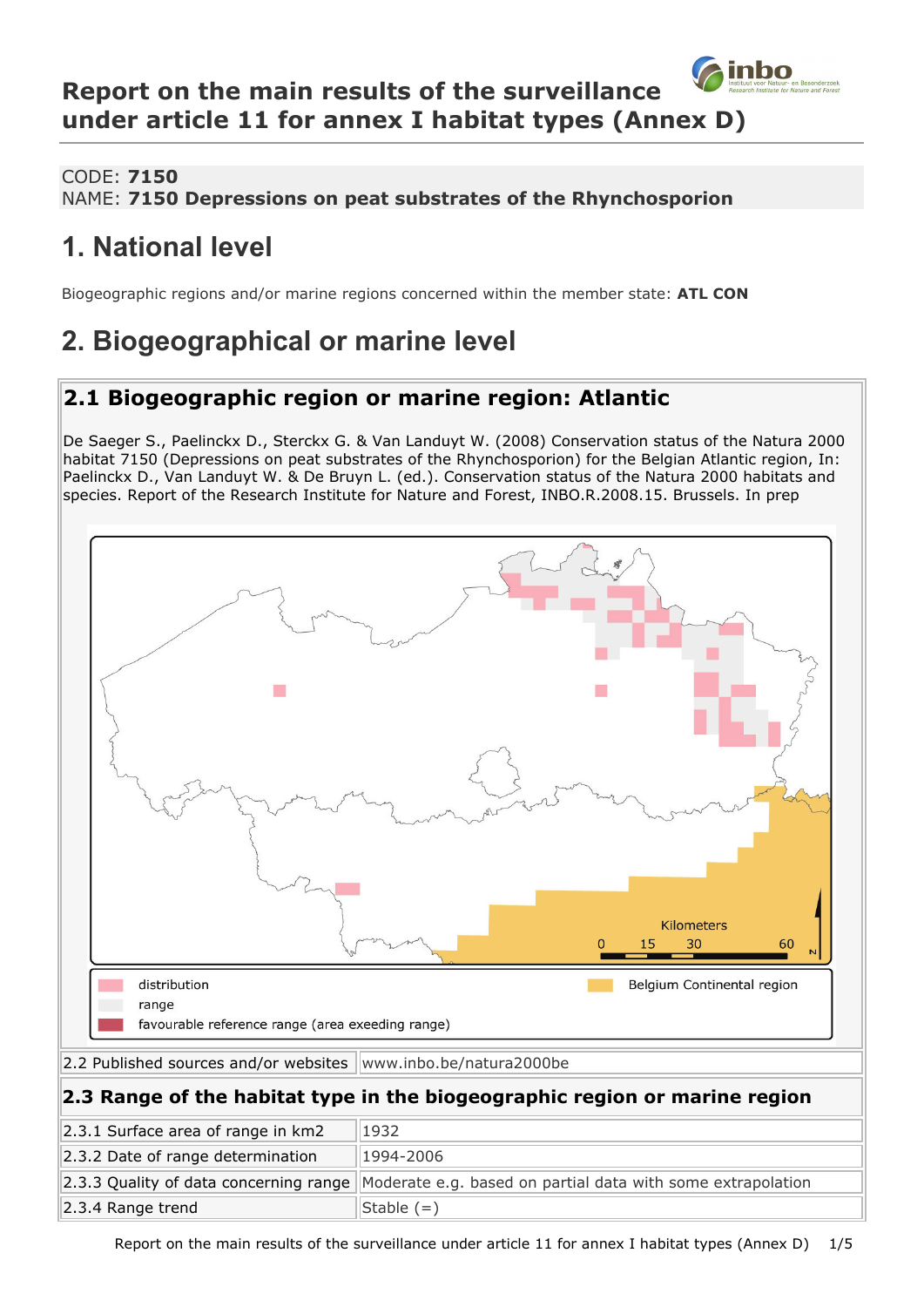### inbo **Report on the main results of the surveillance under article 11 for annex I habitat types (Annex D)**

### CODE: **7150**

#### NAME: **7150 Depressions on peat substrates of the Rhynchosporion**

## **1. National level**

Biogeographic regions and/or marine regions concerned within the member state: **ATL CON**

# **2. Biogeographical or marine level**

## **2.1 Biogeographic region or marine region: Atlantic**

De Saeger S., Paelinckx D., Sterckx G. & Van Landuyt W. (2008) Conservation status of the Natura 2000 habitat 7150 (Depressions on peat substrates of the Rhynchosporion) for the Belgian Atlantic region, In: Paelinckx D., Van Landuyt W. & De Bruyn L. (ed.). Conservation status of the Natura 2000 habitats and species. Report of the Research Institute for Nature and Forest, INBO.R.2008.15. Brussels. In prep



Report on the main results of the surveillance under article 11 for annex I habitat types (Annex D) 1/5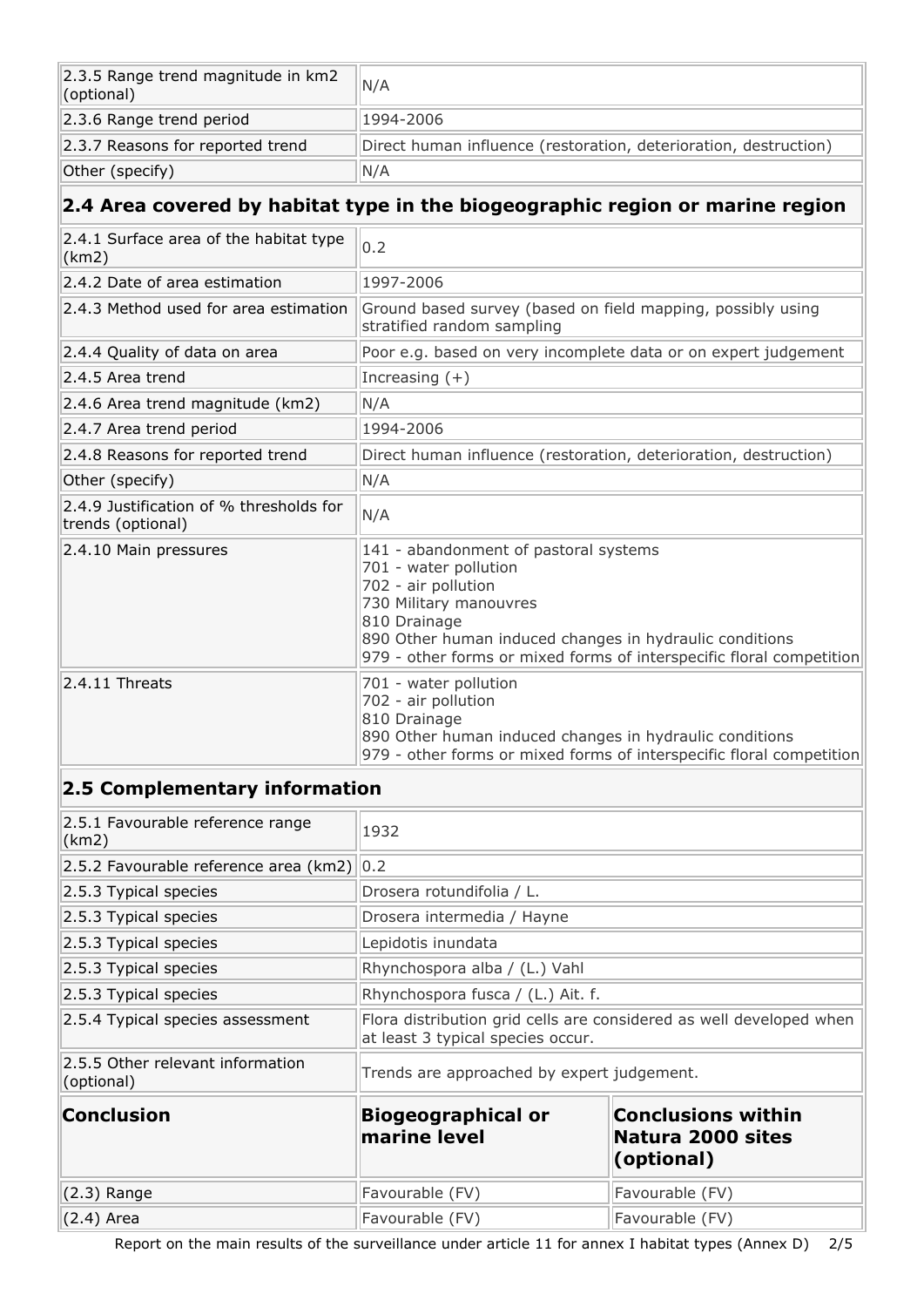| $\vert$ 2.3.5 Range trend magnitude in km2<br>(optional) | N/A                                                              |
|----------------------------------------------------------|------------------------------------------------------------------|
| 2.3.6 Range trend period                                 | 1994-2006                                                        |
| 2.3.7 Reasons for reported trend                         | Direct human influence (restoration, deterioration, destruction) |
| Other (specify)                                          | N/A                                                              |

## **2.4 Area covered by habitat type in the biogeographic region or marine region**

| 2.4.1 Surface area of the habitat type<br>(km2)              | 0.2                                                                                                                                                                                                                                                                |  |
|--------------------------------------------------------------|--------------------------------------------------------------------------------------------------------------------------------------------------------------------------------------------------------------------------------------------------------------------|--|
| 2.4.2 Date of area estimation                                | 1997-2006                                                                                                                                                                                                                                                          |  |
| 2.4.3 Method used for area estimation                        | Ground based survey (based on field mapping, possibly using<br>stratified random sampling                                                                                                                                                                          |  |
| 2.4.4 Quality of data on area                                | Poor e.g. based on very incomplete data or on expert judgement                                                                                                                                                                                                     |  |
| 2.4.5 Area trend                                             | Increasing $(+)$                                                                                                                                                                                                                                                   |  |
| 2.4.6 Area trend magnitude (km2)                             | N/A                                                                                                                                                                                                                                                                |  |
| 2.4.7 Area trend period                                      | 1994-2006                                                                                                                                                                                                                                                          |  |
| 2.4.8 Reasons for reported trend                             | Direct human influence (restoration, deterioration, destruction)                                                                                                                                                                                                   |  |
| Other (specify)                                              | N/A                                                                                                                                                                                                                                                                |  |
| 2.4.9 Justification of % thresholds for<br>trends (optional) | N/A                                                                                                                                                                                                                                                                |  |
| 2.4.10 Main pressures                                        | 141 - abandonment of pastoral systems<br>701 - water pollution<br>702 - air pollution<br>730 Military manouvres<br>810 Drainage<br>890 Other human induced changes in hydraulic conditions<br>979 - other forms or mixed forms of interspecific floral competition |  |
| $2.4.11$ Threats                                             | 701 - water pollution<br>702 - air pollution<br>810 Drainage<br>890 Other human induced changes in hydraulic conditions<br>979 - other forms or mixed forms of interspecific floral competition                                                                    |  |

### **2.5 Complementary information**

| 2.5.1 Favourable reference range<br>(km2)      | 1932                                                                                                     |                                                                    |  |
|------------------------------------------------|----------------------------------------------------------------------------------------------------------|--------------------------------------------------------------------|--|
| 2.5.2 Favourable reference area (km2) 0.2      |                                                                                                          |                                                                    |  |
| 2.5.3 Typical species                          | Drosera rotundifolia / L.                                                                                |                                                                    |  |
| 2.5.3 Typical species                          | Drosera intermedia / Hayne                                                                               |                                                                    |  |
| 2.5.3 Typical species                          | Lepidotis inundata                                                                                       |                                                                    |  |
| $ 2.5.3$ Typical species                       | Rhynchospora alba / (L.) Vahl                                                                            |                                                                    |  |
| $ 2.5.3$ Typical species                       | Rhynchospora fusca / (L.) Ait. f.                                                                        |                                                                    |  |
| 2.5.4 Typical species assessment               | Flora distribution grid cells are considered as well developed when<br>at least 3 typical species occur. |                                                                    |  |
| 2.5.5 Other relevant information<br>(optional) | Trends are approached by expert judgement.                                                               |                                                                    |  |
| <b>Conclusion</b>                              | <b>Biogeographical or</b><br>marine level                                                                | <b>Conclusions within</b><br>Natura 2000 sites<br>$($ optional $)$ |  |
| $(2.3)$ Range                                  | Favourable (FV)                                                                                          | Favourable (FV)                                                    |  |
| $(2.4)$ Area                                   | Favourable (FV)                                                                                          | Favourable (FV)                                                    |  |

Report on the main results of the surveillance under article 11 for annex I habitat types (Annex D) 2/5